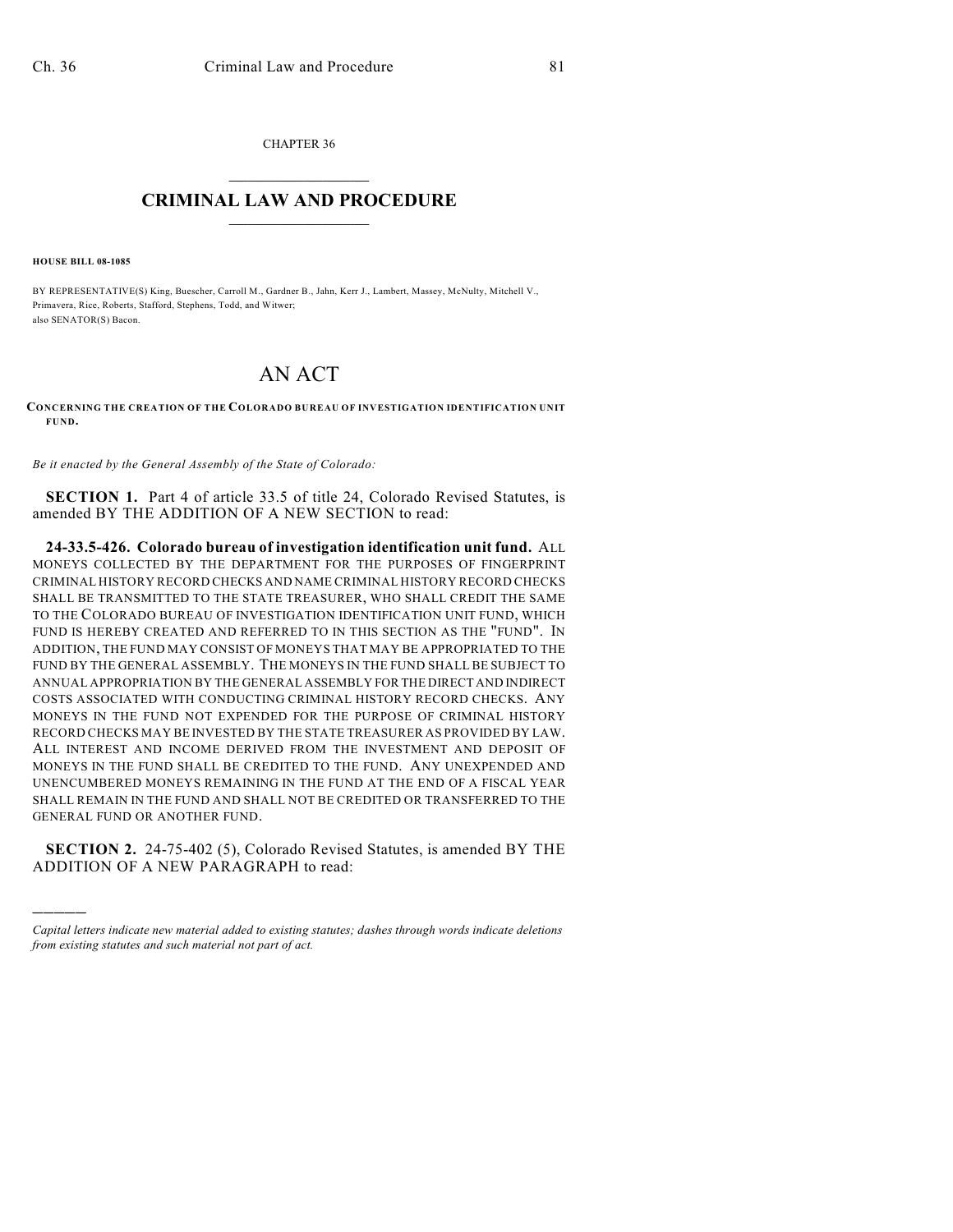CHAPTER 36  $\mathcal{L}_\text{max}$  . The set of the set of the set of the set of the set of the set of the set of the set of the set of the set of the set of the set of the set of the set of the set of the set of the set of the set of the set

## **CRIMINAL LAW AND PROCEDURE**  $\_$   $\_$   $\_$   $\_$   $\_$   $\_$   $\_$   $\_$   $\_$   $\_$

**HOUSE BILL 08-1085**

)))))

BY REPRESENTATIVE(S) King, Buescher, Carroll M., Gardner B., Jahn, Kerr J., Lambert, Massey, McNulty, Mitchell V., Primavera, Rice, Roberts, Stafford, Stephens, Todd, and Witwer; also SENATOR(S) Bacon.

## AN ACT

**CONCERNING THE CREATION OF THE COLORADO BUREAU OF INVESTIGATION IDENTIFICATION UNIT FUND.**

*Be it enacted by the General Assembly of the State of Colorado:*

**SECTION 1.** Part 4 of article 33.5 of title 24, Colorado Revised Statutes, is amended BY THE ADDITION OF A NEW SECTION to read:

**24-33.5-426. Colorado bureau of investigation identification unit fund.** ALL MONEYS COLLECTED BY THE DEPARTMENT FOR THE PURPOSES OF FINGERPRINT CRIMINAL HISTORY RECORD CHECKS AND NAME CRIMINAL HISTORY RECORD CHECKS SHALL BE TRANSMITTED TO THE STATE TREASURER, WHO SHALL CREDIT THE SAME TO THE COLORADO BUREAU OF INVESTIGATION IDENTIFICATION UNIT FUND, WHICH FUND IS HEREBY CREATED AND REFERRED TO IN THIS SECTION AS THE "FUND". IN ADDITION, THE FUND MAY CONSIST OF MONEYS THAT MAY BE APPROPRIATED TO THE FUND BY THE GENERAL ASSEMBLY. THE MONEYS IN THE FUND SHALL BE SUBJECT TO ANNUAL APPROPRIATION BY THE GENERAL ASSEMBLY FOR THE DIRECT AND INDIRECT COSTS ASSOCIATED WITH CONDUCTING CRIMINAL HISTORY RECORD CHECKS. ANY MONEYS IN THE FUND NOT EXPENDED FOR THE PURPOSE OF CRIMINAL HISTORY RECORD CHECKS MAY BE INVESTED BY THE STATE TREASURER AS PROVIDED BY LAW. ALL INTEREST AND INCOME DERIVED FROM THE INVESTMENT AND DEPOSIT OF MONEYS IN THE FUND SHALL BE CREDITED TO THE FUND. ANY UNEXPENDED AND UNENCUMBERED MONEYS REMAINING IN THE FUND AT THE END OF A FISCAL YEAR SHALL REMAIN IN THE FUND AND SHALL NOT BE CREDITED OR TRANSFERRED TO THE GENERAL FUND OR ANOTHER FUND.

**SECTION 2.** 24-75-402 (5), Colorado Revised Statutes, is amended BY THE ADDITION OF A NEW PARAGRAPH to read:

*Capital letters indicate new material added to existing statutes; dashes through words indicate deletions from existing statutes and such material not part of act.*